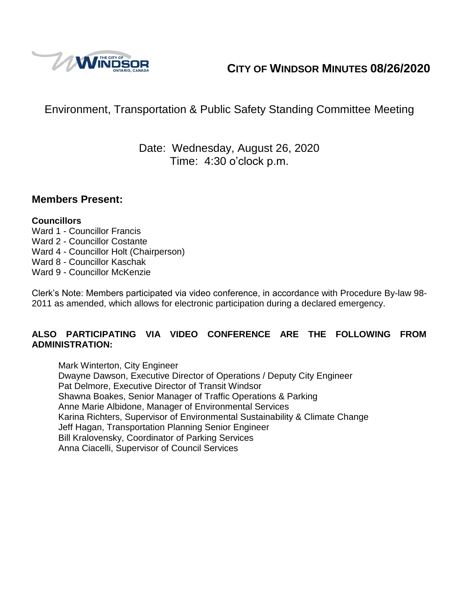

# **CITY OF WINDSOR MINUTES 08/26/2020**

# Environment, Transportation & Public Safety Standing Committee Meeting

## Date: Wednesday, August 26, 2020 Time: 4:30 o'clock p.m.

### **Members Present:**

#### **Councillors**

- Ward 1 Councillor Francis Ward 2 - Councillor Costante Ward 4 - Councillor Holt (Chairperson)
- Ward 8 Councillor Kaschak
- Ward 9 Councillor McKenzie

Clerk's Note: Members participated via video conference, in accordance with Procedure By-law 98- 2011 as amended, which allows for electronic participation during a declared emergency.

#### **ALSO PARTICIPATING VIA VIDEO CONFERENCE ARE THE FOLLOWING FROM ADMINISTRATION:**

Mark Winterton, City Engineer Dwayne Dawson, Executive Director of Operations / Deputy City Engineer Pat Delmore, Executive Director of Transit Windsor Shawna Boakes, Senior Manager of Traffic Operations & Parking Anne Marie Albidone, Manager of Environmental Services Karina Richters, Supervisor of Environmental Sustainability & Climate Change Jeff Hagan, Transportation Planning Senior Engineer Bill Kralovensky, Coordinator of Parking Services Anna Ciacelli, Supervisor of Council Services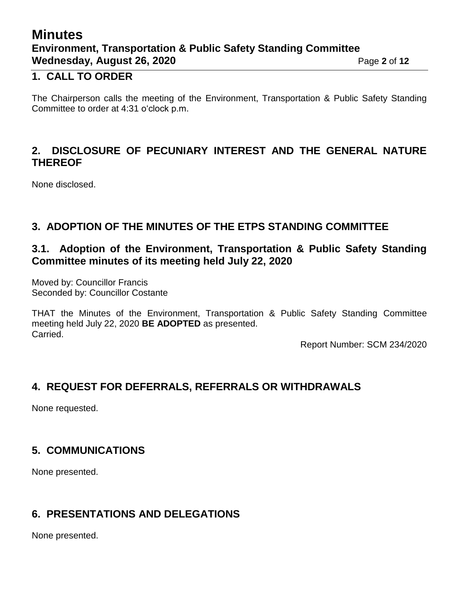# **Minutes Environment, Transportation & Public Safety Standing Committee Wednesday, August 26, 2020** Page 2 of 12

### **1. CALL TO ORDER**

The Chairperson calls the meeting of the Environment, Transportation & Public Safety Standing Committee to order at 4:31 o'clock p.m.

## **2. DISCLOSURE OF PECUNIARY INTEREST AND THE GENERAL NATURE THEREOF**

None disclosed.

## **3. ADOPTION OF THE MINUTES OF THE ETPS STANDING COMMITTEE**

## **3.1. Adoption of the Environment, Transportation & Public Safety Standing Committee minutes of its meeting held July 22, 2020**

Moved by: Councillor Francis Seconded by: Councillor Costante

THAT the Minutes of the Environment, Transportation & Public Safety Standing Committee meeting held July 22, 2020 **BE ADOPTED** as presented. Carried.

Report Number: SCM 234/2020

## **4. REQUEST FOR DEFERRALS, REFERRALS OR WITHDRAWALS**

None requested.

## **5. COMMUNICATIONS**

None presented.

## **6. PRESENTATIONS AND DELEGATIONS**

None presented.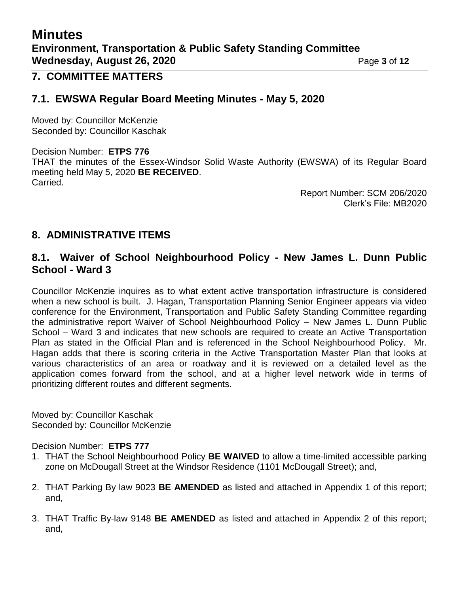# **Minutes Environment, Transportation & Public Safety Standing Committee Wednesday, August 26, 2020** Page 3 of 12

### **7. COMMITTEE MATTERS**

### **7.1. EWSWA Regular Board Meeting Minutes - May 5, 2020**

Moved by: Councillor McKenzie Seconded by: Councillor Kaschak

Decision Number: **ETPS 776** THAT the minutes of the Essex-Windsor Solid Waste Authority (EWSWA) of its Regular Board meeting held May 5, 2020 **BE RECEIVED**. Carried.

> Report Number: SCM 206/2020 Clerk's File: MB2020

### **8. ADMINISTRATIVE ITEMS**

### **8.1. Waiver of School Neighbourhood Policy - New James L. Dunn Public School - Ward 3**

Councillor McKenzie inquires as to what extent active transportation infrastructure is considered when a new school is built. J. Hagan, Transportation Planning Senior Engineer appears via video conference for the Environment, Transportation and Public Safety Standing Committee regarding the administrative report Waiver of School Neighbourhood Policy – New James L. Dunn Public School – Ward 3 and indicates that new schools are required to create an Active Transportation Plan as stated in the Official Plan and is referenced in the School Neighbourhood Policy. Mr. Hagan adds that there is scoring criteria in the Active Transportation Master Plan that looks at various characteristics of an area or roadway and it is reviewed on a detailed level as the application comes forward from the school, and at a higher level network wide in terms of prioritizing different routes and different segments.

Moved by: Councillor Kaschak Seconded by: Councillor McKenzie

#### Decision Number: **ETPS 777**

- 1. THAT the School Neighbourhood Policy **BE WAIVED** to allow a time-limited accessible parking zone on McDougall Street at the Windsor Residence (1101 McDougall Street); and,
- 2. THAT Parking By law 9023 **BE AMENDED** as listed and attached in Appendix 1 of this report; and,
- 3. THAT Traffic By-law 9148 **BE AMENDED** as listed and attached in Appendix 2 of this report; and,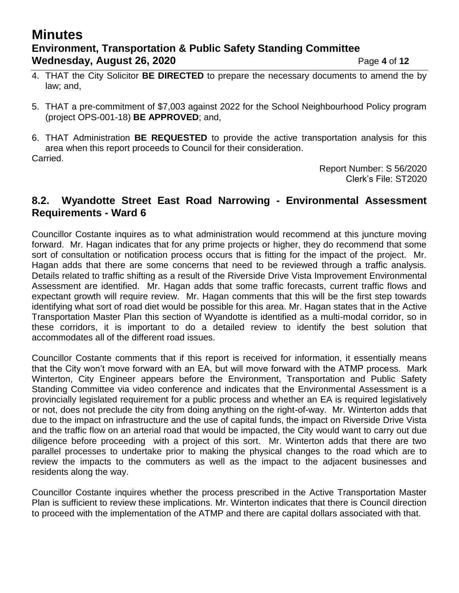# **Minutes Environment, Transportation & Public Safety Standing Committee Wednesday, August 26, 2020** Page 4 of 12

- 4. THAT the City Solicitor **BE DIRECTED** to prepare the necessary documents to amend the by law; and,
- 5. THAT a pre-commitment of \$7,003 against 2022 for the School Neighbourhood Policy program (project OPS-001-18) **BE APPROVED**; and,

6. THAT Administration **BE REQUESTED** to provide the active transportation analysis for this area when this report proceeds to Council for their consideration. Carried.

> Report Number: S 56/2020 Clerk's File: ST2020

### **8.2. Wyandotte Street East Road Narrowing - Environmental Assessment Requirements - Ward 6**

Councillor Costante inquires as to what administration would recommend at this juncture moving forward. Mr. Hagan indicates that for any prime projects or higher, they do recommend that some sort of consultation or notification process occurs that is fitting for the impact of the project. Mr. Hagan adds that there are some concerns that need to be reviewed through a traffic analysis. Details related to traffic shifting as a result of the Riverside Drive Vista Improvement Environmental Assessment are identified. Mr. Hagan adds that some traffic forecasts, current traffic flows and expectant growth will require review. Mr. Hagan comments that this will be the first step towards identifying what sort of road diet would be possible for this area. Mr. Hagan states that in the Active Transportation Master Plan this section of Wyandotte is identified as a multi-modal corridor, so in these corridors, it is important to do a detailed review to identify the best solution that accommodates all of the different road issues.

Councillor Costante comments that if this report is received for information, it essentially means that the City won't move forward with an EA, but will move forward with the ATMP process. Mark Winterton, City Engineer appears before the Environment, Transportation and Public Safety Standing Committee via video conference and indicates that the Environmental Assessment is a provincially legislated requirement for a public process and whether an EA is required legislatively or not, does not preclude the city from doing anything on the right-of-way. Mr. Winterton adds that due to the impact on infrastructure and the use of capital funds, the impact on Riverside Drive Vista and the traffic flow on an arterial road that would be impacted, the City would want to carry out due diligence before proceeding with a project of this sort. Mr. Winterton adds that there are two parallel processes to undertake prior to making the physical changes to the road which are to review the impacts to the commuters as well as the impact to the adjacent businesses and residents along the way.

Councillor Costante inquires whether the process prescribed in the Active Transportation Master Plan is sufficient to review these implications. Mr. Winterton indicates that there is Council direction to proceed with the implementation of the ATMP and there are capital dollars associated with that.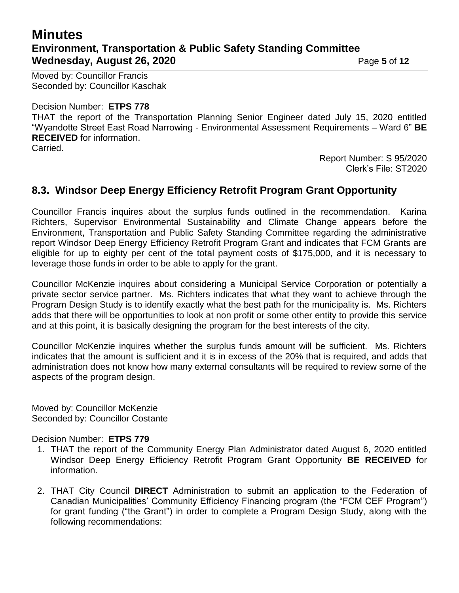# **Minutes Environment, Transportation & Public Safety Standing Committee Wednesday, August 26, 2020 Page 5** of 12

Moved by: Councillor Francis Seconded by: Councillor Kaschak

#### Decision Number: **ETPS 778**

THAT the report of the Transportation Planning Senior Engineer dated July 15, 2020 entitled "Wyandotte Street East Road Narrowing - Environmental Assessment Requirements – Ward 6" **BE RECEIVED** for information.

Carried.

Report Number: S 95/2020 Clerk's File: ST2020

## **8.3. Windsor Deep Energy Efficiency Retrofit Program Grant Opportunity**

Councillor Francis inquires about the surplus funds outlined in the recommendation. Karina Richters, Supervisor Environmental Sustainability and Climate Change appears before the Environment, Transportation and Public Safety Standing Committee regarding the administrative report Windsor Deep Energy Efficiency Retrofit Program Grant and indicates that FCM Grants are eligible for up to eighty per cent of the total payment costs of \$175,000, and it is necessary to leverage those funds in order to be able to apply for the grant.

Councillor McKenzie inquires about considering a Municipal Service Corporation or potentially a private sector service partner. Ms. Richters indicates that what they want to achieve through the Program Design Study is to identify exactly what the best path for the municipality is. Ms. Richters adds that there will be opportunities to look at non profit or some other entity to provide this service and at this point, it is basically designing the program for the best interests of the city.

Councillor McKenzie inquires whether the surplus funds amount will be sufficient. Ms. Richters indicates that the amount is sufficient and it is in excess of the 20% that is required, and adds that administration does not know how many external consultants will be required to review some of the aspects of the program design.

Moved by: Councillor McKenzie Seconded by: Councillor Costante

#### Decision Number: **ETPS 779**

- 1. THAT the report of the Community Energy Plan Administrator dated August 6, 2020 entitled Windsor Deep Energy Efficiency Retrofit Program Grant Opportunity **BE RECEIVED** for information.
- 2. THAT City Council **DIRECT** Administration to submit an application to the Federation of Canadian Municipalities' Community Efficiency Financing program (the "FCM CEF Program") for grant funding ("the Grant") in order to complete a Program Design Study, along with the following recommendations: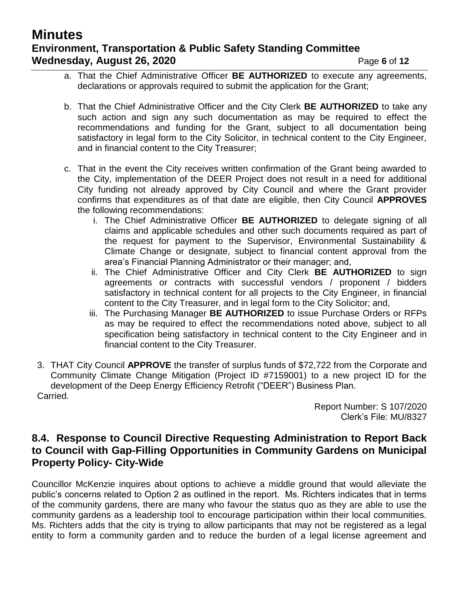# **Minutes Environment, Transportation & Public Safety Standing Committee Wednesday, August 26, 2020 Page 6** of 12

- a. That the Chief Administrative Officer **BE AUTHORIZED** to execute any agreements, declarations or approvals required to submit the application for the Grant;
- b. That the Chief Administrative Officer and the City Clerk **BE AUTHORIZED** to take any such action and sign any such documentation as may be required to effect the recommendations and funding for the Grant, subject to all documentation being satisfactory in legal form to the City Solicitor, in technical content to the City Engineer, and in financial content to the City Treasurer;
- c. That in the event the City receives written confirmation of the Grant being awarded to the City, implementation of the DEER Project does not result in a need for additional City funding not already approved by City Council and where the Grant provider confirms that expenditures as of that date are eligible, then City Council **APPROVES** the following recommendations:
	- i. The Chief Administrative Officer **BE AUTHORIZED** to delegate signing of all claims and applicable schedules and other such documents required as part of the request for payment to the Supervisor, Environmental Sustainability & Climate Change or designate, subject to financial content approval from the area's Financial Planning Administrator or their manager; and,
	- ii. The Chief Administrative Officer and City Clerk **BE AUTHORIZED** to sign agreements or contracts with successful vendors / proponent / bidders satisfactory in technical content for all projects to the City Engineer, in financial content to the City Treasurer, and in legal form to the City Solicitor; and,
	- iii. The Purchasing Manager **BE AUTHORIZED** to issue Purchase Orders or RFPs as may be required to effect the recommendations noted above, subject to all specification being satisfactory in technical content to the City Engineer and in financial content to the City Treasurer.
- 3. THAT City Council **APPROVE** the transfer of surplus funds of \$72,722 from the Corporate and Community Climate Change Mitigation (Project ID #7159001) to a new project ID for the development of the Deep Energy Efficiency Retrofit ("DEER") Business Plan. Carried.

Report Number: S 107/2020 Clerk's File: MU/8327

## **8.4. Response to Council Directive Requesting Administration to Report Back to Council with Gap-Filling Opportunities in Community Gardens on Municipal Property Policy- City-Wide**

Councillor McKenzie inquires about options to achieve a middle ground that would alleviate the public's concerns related to Option 2 as outlined in the report. Ms. Richters indicates that in terms of the community gardens, there are many who favour the status quo as they are able to use the community gardens as a leadership tool to encourage participation within their local communities. Ms. Richters adds that the city is trying to allow participants that may not be registered as a legal entity to form a community garden and to reduce the burden of a legal license agreement and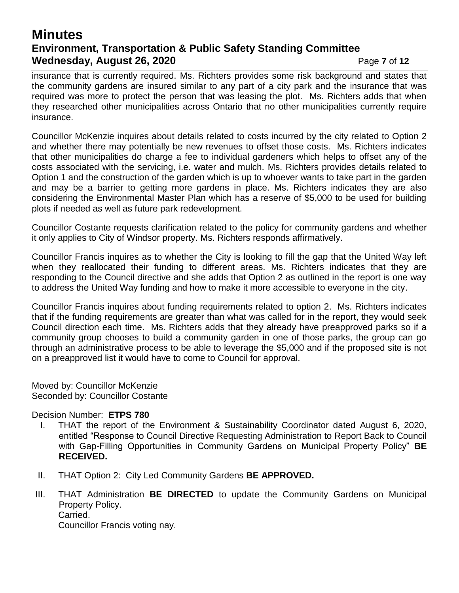## **Minutes Environment, Transportation & Public Safety Standing Committee Wednesday, August 26, 2020** Page 7 of 12

insurance that is currently required. Ms. Richters provides some risk background and states that the community gardens are insured similar to any part of a city park and the insurance that was required was more to protect the person that was leasing the plot. Ms. Richters adds that when they researched other municipalities across Ontario that no other municipalities currently require insurance.

Councillor McKenzie inquires about details related to costs incurred by the city related to Option 2 and whether there may potentially be new revenues to offset those costs. Ms. Richters indicates that other municipalities do charge a fee to individual gardeners which helps to offset any of the costs associated with the servicing, i.e. water and mulch. Ms. Richters provides details related to Option 1 and the construction of the garden which is up to whoever wants to take part in the garden and may be a barrier to getting more gardens in place. Ms. Richters indicates they are also considering the Environmental Master Plan which has a reserve of \$5,000 to be used for building plots if needed as well as future park redevelopment.

Councillor Costante requests clarification related to the policy for community gardens and whether it only applies to City of Windsor property. Ms. Richters responds affirmatively.

Councillor Francis inquires as to whether the City is looking to fill the gap that the United Way left when they reallocated their funding to different areas. Ms. Richters indicates that they are responding to the Council directive and she adds that Option 2 as outlined in the report is one way to address the United Way funding and how to make it more accessible to everyone in the city.

Councillor Francis inquires about funding requirements related to option 2. Ms. Richters indicates that if the funding requirements are greater than what was called for in the report, they would seek Council direction each time. Ms. Richters adds that they already have preapproved parks so if a community group chooses to build a community garden in one of those parks, the group can go through an administrative process to be able to leverage the \$5,000 and if the proposed site is not on a preapproved list it would have to come to Council for approval.

Moved by: Councillor McKenzie Seconded by: Councillor Costante

Decision Number: **ETPS 780**

- I. THAT the report of the Environment & Sustainability Coordinator dated August 6, 2020, entitled "Response to Council Directive Requesting Administration to Report Back to Council with Gap-Filling Opportunities in Community Gardens on Municipal Property Policy" **BE RECEIVED.**
- II. THAT Option 2: City Led Community Gardens **BE APPROVED.**
- III. THAT Administration **BE DIRECTED** to update the Community Gardens on Municipal Property Policy. Carried. Councillor Francis voting nay.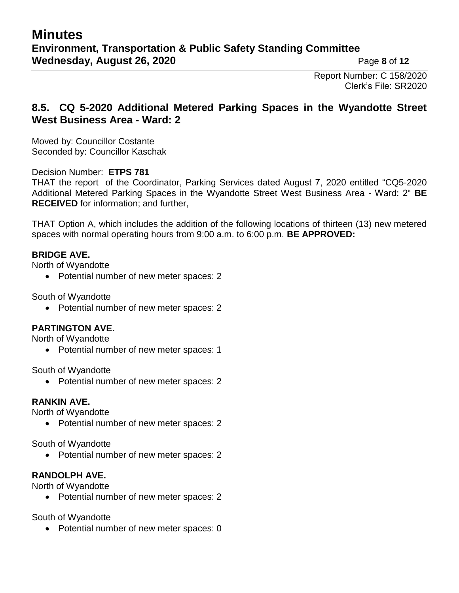Report Number: C 158/2020 Clerk's File: SR2020

## **8.5. CQ 5-2020 Additional Metered Parking Spaces in the Wyandotte Street West Business Area - Ward: 2**

Moved by: Councillor Costante Seconded by: Councillor Kaschak

#### Decision Number: **ETPS 781**

THAT the report of the Coordinator, Parking Services dated August 7, 2020 entitled "CQ5-2020 Additional Metered Parking Spaces in the Wyandotte Street West Business Area - Ward: 2" **BE RECEIVED** for information; and further,

THAT Option A, which includes the addition of the following locations of thirteen (13) new metered spaces with normal operating hours from 9:00 a.m. to 6:00 p.m. **BE APPROVED:**

#### **BRIDGE AVE.**

North of Wyandotte

• Potential number of new meter spaces: 2

South of Wyandotte

• Potential number of new meter spaces: 2

#### **PARTINGTON AVE.**

North of Wyandotte

• Potential number of new meter spaces: 1

South of Wyandotte

• Potential number of new meter spaces: 2

#### **RANKIN AVE.**

North of Wyandotte

• Potential number of new meter spaces: 2

South of Wyandotte

• Potential number of new meter spaces: 2

#### **RANDOLPH AVE.**

North of Wyandotte

• Potential number of new meter spaces: 2

South of Wyandotte

• Potential number of new meter spaces: 0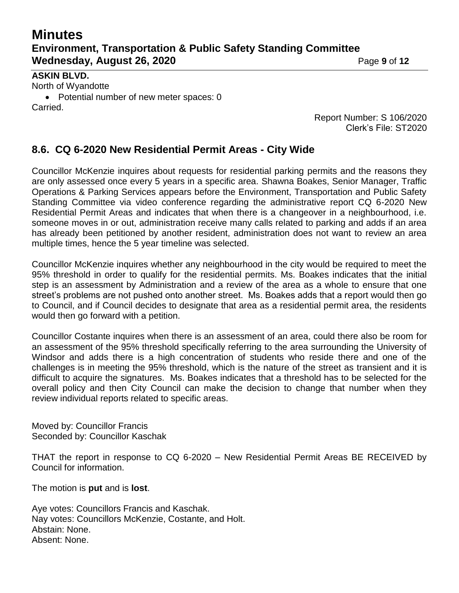# **Minutes Environment, Transportation & Public Safety Standing Committee Wednesday, August 26, 2020** Page 9 of 12

#### **ASKIN BLVD.**

North of Wyandotte Potential number of new meter spaces: 0 Carried.

Report Number: S 106/2020 Clerk's File: ST2020

### **8.6. CQ 6-2020 New Residential Permit Areas - City Wide**

Councillor McKenzie inquires about requests for residential parking permits and the reasons they are only assessed once every 5 years in a specific area. Shawna Boakes, Senior Manager, Traffic Operations & Parking Services appears before the Environment, Transportation and Public Safety Standing Committee via video conference regarding the administrative report CQ 6-2020 New Residential Permit Areas and indicates that when there is a changeover in a neighbourhood, i.e. someone moves in or out, administration receive many calls related to parking and adds if an area has already been petitioned by another resident, administration does not want to review an area multiple times, hence the 5 year timeline was selected.

Councillor McKenzie inquires whether any neighbourhood in the city would be required to meet the 95% threshold in order to qualify for the residential permits. Ms. Boakes indicates that the initial step is an assessment by Administration and a review of the area as a whole to ensure that one street's problems are not pushed onto another street. Ms. Boakes adds that a report would then go to Council, and if Council decides to designate that area as a residential permit area, the residents would then go forward with a petition.

Councillor Costante inquires when there is an assessment of an area, could there also be room for an assessment of the 95% threshold specifically referring to the area surrounding the University of Windsor and adds there is a high concentration of students who reside there and one of the challenges is in meeting the 95% threshold, which is the nature of the street as transient and it is difficult to acquire the signatures. Ms. Boakes indicates that a threshold has to be selected for the overall policy and then City Council can make the decision to change that number when they review individual reports related to specific areas.

Moved by: Councillor Francis Seconded by: Councillor Kaschak

THAT the report in response to CQ 6-2020 – New Residential Permit Areas BE RECEIVED by Council for information.

The motion is **put** and is **lost**.

Aye votes: Councillors Francis and Kaschak. Nay votes: Councillors McKenzie, Costante, and Holt. Abstain: None. Absent: None.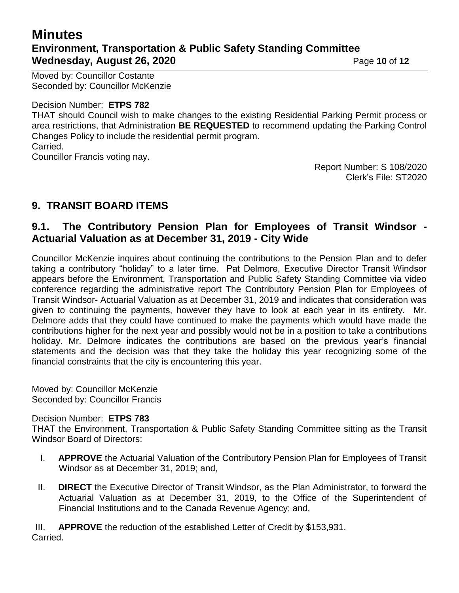# **Minutes Environment, Transportation & Public Safety Standing Committee Wednesday, August 26, 2020** Page 10 of 12

Moved by: Councillor Costante Seconded by: Councillor McKenzie

Decision Number: **ETPS 782**

THAT should Council wish to make changes to the existing Residential Parking Permit process or area restrictions, that Administration **BE REQUESTED** to recommend updating the Parking Control Changes Policy to include the residential permit program. Carried.

Councillor Francis voting nay.

Report Number: S 108/2020 Clerk's File: ST2020

## **9. TRANSIT BOARD ITEMS**

## **9.1. The Contributory Pension Plan for Employees of Transit Windsor - Actuarial Valuation as at December 31, 2019 - City Wide**

Councillor McKenzie inquires about continuing the contributions to the Pension Plan and to defer taking a contributory "holiday" to a later time. Pat Delmore, Executive Director Transit Windsor appears before the Environment, Transportation and Public Safety Standing Committee via video conference regarding the administrative report The Contributory Pension Plan for Employees of Transit Windsor- Actuarial Valuation as at December 31, 2019 and indicates that consideration was given to continuing the payments, however they have to look at each year in its entirety. Mr. Delmore adds that they could have continued to make the payments which would have made the contributions higher for the next year and possibly would not be in a position to take a contributions holiday. Mr. Delmore indicates the contributions are based on the previous year's financial statements and the decision was that they take the holiday this year recognizing some of the financial constraints that the city is encountering this year.

Moved by: Councillor McKenzie Seconded by: Councillor Francis

#### Decision Number: **ETPS 783**

THAT the Environment, Transportation & Public Safety Standing Committee sitting as the Transit Windsor Board of Directors:

- I. **APPROVE** the Actuarial Valuation of the Contributory Pension Plan for Employees of Transit Windsor as at December 31, 2019; and,
- II. **DIRECT** the Executive Director of Transit Windsor, as the Plan Administrator, to forward the Actuarial Valuation as at December 31, 2019, to the Office of the Superintendent of Financial Institutions and to the Canada Revenue Agency; and,

III. **APPROVE** the reduction of the established Letter of Credit by \$153,931. Carried.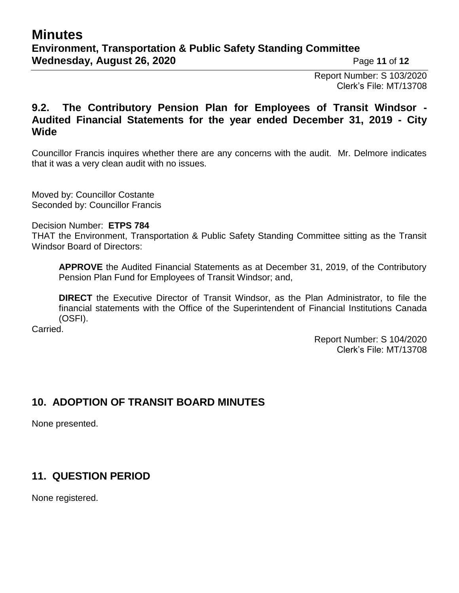Report Number: S 103/2020 Clerk's File: MT/13708

## **9.2. The Contributory Pension Plan for Employees of Transit Windsor - Audited Financial Statements for the year ended December 31, 2019 - City Wide**

Councillor Francis inquires whether there are any concerns with the audit. Mr. Delmore indicates that it was a very clean audit with no issues.

Moved by: Councillor Costante Seconded by: Councillor Francis

Decision Number: **ETPS 784**

THAT the Environment, Transportation & Public Safety Standing Committee sitting as the Transit Windsor Board of Directors:

**APPROVE** the Audited Financial Statements as at December 31, 2019, of the Contributory Pension Plan Fund for Employees of Transit Windsor; and,

**DIRECT** the Executive Director of Transit Windsor, as the Plan Administrator, to file the financial statements with the Office of the Superintendent of Financial Institutions Canada (OSFI).

Carried.

Report Number: S 104/2020 Clerk's File: MT/13708

## **10. ADOPTION OF TRANSIT BOARD MINUTES**

None presented.

## **11. QUESTION PERIOD**

None registered.